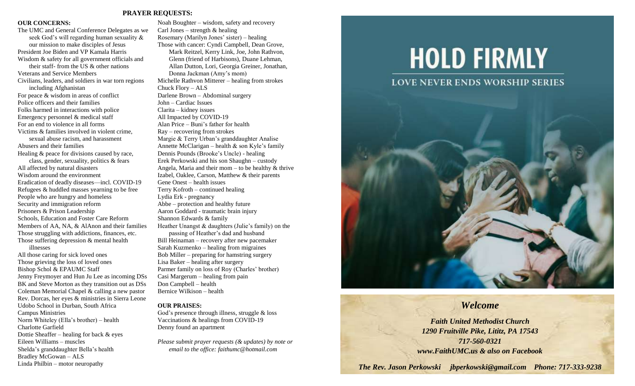# **PRAYER REQUESTS:**

### **OUR CONCERNS:**

Charlotte Garfield

Eileen Williams – muscles

Bradley McGowan – ALS Linda Philbin – motor neuropathy

Dottie Sheaffer – healing for back & eyes

Shelda's granddaughter Bella's health

The UMC and General Conference Delegates as we seek God's will regarding human sexuality & our mission to make disciples of Jesus President Joe Biden and VP Kamala Harris Wisdom & safety for all government officials and their staff- from the US & other nations Veterans and Service Members Civilians, leaders, and soldiers in war torn regions including Afghanistan For peace & wisdom in areas of conflict Police officers and their families Folks harmed in interactions with police Emergency personnel & medical staff For an end to violence in all forms Victims & families involved in violent crime, sexual abuse racism, and harassment Abusers and their families Healing & peace for divisions caused by race, class, gender, sexuality, politics & fears All affected by natural disasters Wisdom around the environment Eradication of deadly diseases—incl. COVID-19 Refugees & huddled masses yearning to be free People who are hungry and homeless Security and immigration reform Prisoners & Prison Leadership Schools, Education and Foster Care Reform Members of AA, NA, & AlAnon and their families Those struggling with addictions, finances, etc. Those suffering depression & mental health illnesses All those caring for sick loved ones Those grieving the loss of loved ones Bishop Schol & EPAUMC Staff Jenny Freymoyer and Hun Ju Lee as incoming DSs BK and Steve Morton as they transition out as DSs Coleman Memorial Chapel & calling a new pastor Rev. Dorcas, her eyes & ministries in Sierra Leone Udobo School in Durban, South Africa Campus Ministries Norm Whiteley (Ella's brother) – health

Noah Boughter – wisdom, safety and recovery Carl Jones – strength  $&$  healing Rosemary (Marilyn Jones' sister) – healing Those with cancer: Cyndi Campbell, Dean Grove, Mark Reitzel, Kerry Link, Joe, John Rathvon, Glenn (friend of Harbisons), Duane Lehman, Allan Dutton, Lori, Georgia Greiner, Jonathan, Donna Jackman (Amy's mom) Michelle Rathvon Mitterer – healing from strokes Chuck Flory – ALS Darlene Brown – Abdominal surgery John – Cardiac Issues Clarita – kidney issues All Impacted by COVID-19 Alan Price – Buni's father for health Ray – recovering from strokes Margie & Terry Urban's granddaughter Analise Annette McClarigan – health  $\&$  son Kyle's family Dennis Pounds (Brooke's Uncle) - healing Erek Perkowski and his son Shaughn – custody Angela, Maria and their mom – to be healthy  $\&$  thrive Izabel, Oaklee, Carson, Matthew & their parents Gene Onest – health issues Terry Kofroth – continued healing Lydia Erk - pregnancy Abbe – protection and healthy future Aaron Goddard - traumatic brain injury Shannon Edwards & family Heather Unangst & daughters (Julie's family) on the passing of Heather's dad and husband Bill Heinaman – recovery after new pacemaker Sarah Kuzmenko – healing from migraines Bob Miller – preparing for hamstring surgery Lisa Baker – healing after surgery Parmer family on loss of Roy (Charles' brother) Casi Margerum – healing from pain Don Campbell – health Bernice Wilkison – health

## **OUR PRAISES:**

God's presence through illness, struggle & loss Vaccinations & healings from COVID-19 Denny found an apartment

*Please submit prayer requests (& updates) by note or email to the office: faithumc@hotmail.com*

# **HOLD FIRMLY**



# *Welcome*

*Faith United Methodist Church 1290 Fruitville Pike, Lititz, PA 17543 717-560-0321 www.FaithUMC.us & also on Facebook*

*The Rev. Jason Perkowski jbperkowski@gmail.com Phone: 717-333-9238*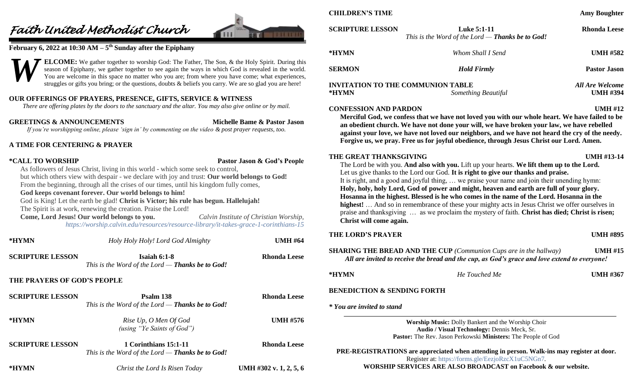# *Faith United Methodist Church*



# **February 6, 2022 at 10:30 AM – 5 th Sunday after the Epiphany**



# **OUR OFFERINGS OF PRAYERS, PRESENCE, GIFTS, SERVICE & WITNESS**

*There are offering plates by the doors to the sanctuary and the altar. You may also give online or by mail.*

**GREETINGS & ANNOUNCEMENTS Michelle Bame & Pastor Jason** *If you're worshipping online, please 'sign in' by commenting on the video & post prayer requests, too.*

# **A TIME FOR CENTERING & PRAYER**

# **\*CALL TO WORSHIP Pastor Jason & God's People**

As followers of Jesus Christ, living in this world - which some seek to control, but which others view with despair - we declare with joy and trust: **Our world belongs to God!** From the beginning, through all the crises of our times, until his kingdom fully comes,

# **God keeps covenant forever. Our world belongs to him!**

# God is King! Let the earth be glad! **Christ is Victor; his rule has begun. Hallelujah!**

The Spirit is at work, renewing the creation. Praise the Lord!

**Come, Lord Jesus! Our world belongs to you.** *Calvin Institute of Christian Worship, <https://worship.calvin.edu/resources/resource-library/it-takes-grace-1-corinthians-15>*

| *HYMN                       | Holy Holy Holy! Lord God Almighty                                           | <b>UMH #64</b>         |
|-----------------------------|-----------------------------------------------------------------------------|------------------------|
| <b>SCRIPTURE LESSON</b>     | Isaiah $6:1-8$<br>This is the Word of the Lord $-$ Thanks be to God!        | <b>Rhonda Leese</b>    |
| THE PRAYERS OF GOD'S PEOPLE |                                                                             |                        |
| <b>SCRIPTURE LESSON</b>     | Psalm 138<br>This is the Word of the Lord $-$ Thanks be to God!             | Rhonda Leese           |
| *HYMN                       | Rise Up, O Men Of God<br>(using "Ye Saints of God")                         | <b>UMH #576</b>        |
| <b>SCRIPTURE LESSON</b>     | 1 Corinthians 15:1-11<br>This is the Word of the Lord $-$ Thanks be to God! | Rhonda Leese           |
| *HYMN                       | Christ the Lord Is Risen Today                                              | UMH #302 v. 1, 2, 5, 6 |

**CHILDREN'S TIME Amy Boughter SCRIPTURE LESSON Luke 5:1-11 Rhonda Leese** *This is the Word of the Lord — Thanks be to God!* **\*HYMN** *Whom Shall I Send* **UMH #582 SERMON** *Hold Firmly* **Pastor Jason INVITATION TO THE COMMUNION TABLE** *All Are Welcome* **\*HYMN** *Something Beautiful* **UMH #394 CONFESSION AND PARDON UMH #12 Merciful God, we confess that we have not loved you with our whole heart. We have failed to be an obedient church. We have not done your will, we have broken your law, we have rebelled against your love, we have not loved our neighbors, and we have not heard the cry of the needy. Forgive us, we pray. Free us for joyful obedience, through Jesus Christ our Lord. Amen. THE GREAT THANKSGIVING UMH #13-14** The Lord be with you. **And also with you.** Lift up your hearts. **We lift them up to the Lord.** Let us give thanks to the Lord our God. **It is right to give our thanks and praise.** It is right, and a good and joyful thing, … we praise your name and join their unending hymn: **Holy, holy, holy Lord, God of power and might, heaven and earth are full of your glory. Hosanna in the highest. Blessed is he who comes in the name of the Lord. Hosanna in the highest!** … And so in remembrance of these your mighty acts in Jesus Christ we offer ourselves in praise and thanksgiving … as we proclaim the mystery of faith. **Christ has died; Christ is risen; Christ will come again. THE LORD'S PRAYER UMH #895 SHARING THE BREAD AND THE CUP** *(Communion Cups are in the hallway)* **UMH #15** *All are invited to receive the bread and the cup, as God's grace and love extend to everyone!* **\*HYMN** *He Touched Me* **UMH #367 BENEDICTION & SENDING FORTH** *\* You are invited to stand*

> **Worship Music:** Dolly Bankert and the Worship Choir **Audio / Visual Technology:** Dennis Meck, Sr. **Pastor:** The Rev. Jason Perkowski **Ministers:** The People of God

**PRE-REGISTRATIONS are appreciated when attending in person. Walk-ins may register at door.**  Register at:<https://forms.gle/EezjoRzcX1uC5NGn7>*.*

**WORSHIP SERVICES ARE ALSO BROADCAST on Facebook & our website.**